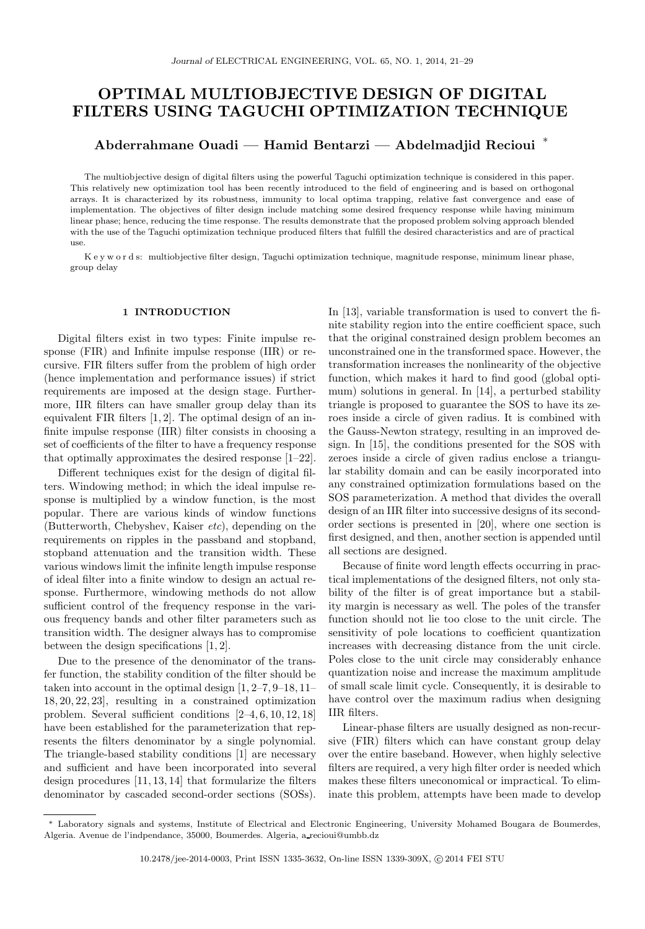# OPTIMAL MULTIOBJECTIVE DESIGN OF DIGITAL FILTERS USING TAGUCHI OPTIMIZATION TECHNIQUE

## Abderrahmane Ouadi — Hamid Bentarzi — Abdelmadjid Recioui <sup>∗</sup>

The multiobjective design of digital filters using the powerful Taguchi optimization technique is considered in this paper. This relatively new optimization tool has been recently introduced to the field of engineering and is based on orthogonal arrays. It is characterized by its robustness, immunity to local optima trapping, relative fast convergence and ease of implementation. The objectives of filter design include matching some desired frequency response while having minimum linear phase; hence, reducing the time response. The results demonstrate that the proposed problem solving approach blended with the use of the Taguchi optimization technique produced filters that fulfill the desired characteristics and are of practical use.

K e y w o r d s: multiobjective filter design, Taguchi optimization technique, magnitude response, minimum linear phase, group delay

### 1 INTRODUCTION

Digital filters exist in two types: Finite impulse response (FIR) and Infinite impulse response (IIR) or recursive. FIR filters suffer from the problem of high order (hence implementation and performance issues) if strict requirements are imposed at the design stage. Furthermore, IIR filters can have smaller group delay than its equivalent FIR filters [1, 2]. The optimal design of an infinite impulse response (IIR) filter consists in choosing a set of coefficients of the filter to have a frequency response that optimally approximates the desired response [1–22].

Different techniques exist for the design of digital filters. Windowing method; in which the ideal impulse response is multiplied by a window function, is the most popular. There are various kinds of window functions (Butterworth, Chebyshev, Kaiser  $etc$ ), depending on the requirements on ripples in the passband and stopband, stopband attenuation and the transition width. These various windows limit the infinite length impulse response of ideal filter into a finite window to design an actual response. Furthermore, windowing methods do not allow sufficient control of the frequency response in the various frequency bands and other filter parameters such as transition width. The designer always has to compromise between the design specifications [1, 2].

Due to the presence of the denominator of the transfer function, the stability condition of the filter should be taken into account in the optimal design [1, 2–7, 9–18, 11– 18, 20, 22, 23], resulting in a constrained optimization problem. Several sufficient conditions [2–4, 6, 10, 12, 18] have been established for the parameterization that represents the filters denominator by a single polynomial. The triangle-based stability conditions [1] are necessary and sufficient and have been incorporated into several design procedures [11, 13, 14] that formularize the filters denominator by cascaded second-order sections (SOSs). In [13], variable transformation is used to convert the finite stability region into the entire coefficient space, such that the original constrained design problem becomes an unconstrained one in the transformed space. However, the transformation increases the nonlinearity of the objective function, which makes it hard to find good (global optimum) solutions in general. In [14], a perturbed stability triangle is proposed to guarantee the SOS to have its zeroes inside a circle of given radius. It is combined with the Gauss-Newton strategy, resulting in an improved design. In [15], the conditions presented for the SOS with zeroes inside a circle of given radius enclose a triangular stability domain and can be easily incorporated into any constrained optimization formulations based on the SOS parameterization. A method that divides the overall design of an IIR filter into successive designs of its secondorder sections is presented in [20], where one section is first designed, and then, another section is appended until all sections are designed.

Because of finite word length effects occurring in practical implementations of the designed filters, not only stability of the filter is of great importance but a stability margin is necessary as well. The poles of the transfer function should not lie too close to the unit circle. The sensitivity of pole locations to coefficient quantization increases with decreasing distance from the unit circle. Poles close to the unit circle may considerably enhance quantization noise and increase the maximum amplitude of small scale limit cycle. Consequently, it is desirable to have control over the maximum radius when designing IIR filters.

Linear-phase filters are usually designed as non-recursive (FIR) filters which can have constant group delay over the entire baseband. However, when highly selective filters are required, a very high filter order is needed which makes these filters uneconomical or impractical. To eliminate this problem, attempts have been made to develop

<sup>∗</sup> Laboratory signals and systems, Institute of Electrical and Electronic Engineering, University Mohamed Bougara de Boumerdes, Algeria. Avenue de l'indpendance, 35000, Boumerdes. Algeria, a recioui@umbb.dz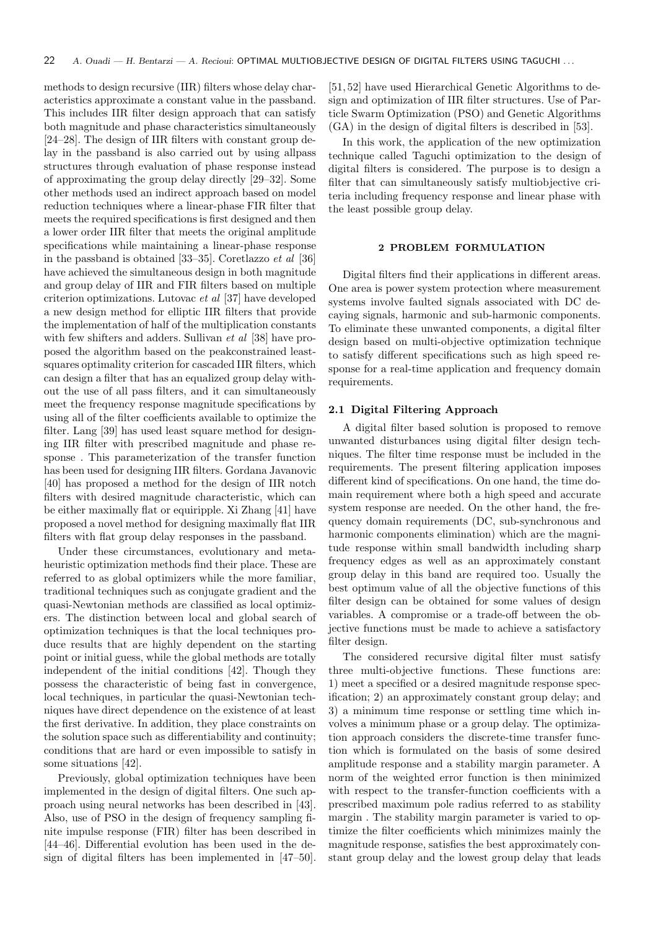methods to design recursive (IIR) filters whose delay characteristics approximate a constant value in the passband. This includes IIR filter design approach that can satisfy both magnitude and phase characteristics simultaneously [24–28]. The design of IIR filters with constant group delay in the passband is also carried out by using allpass structures through evaluation of phase response instead of approximating the group delay directly [29–32]. Some other methods used an indirect approach based on model reduction techniques where a linear-phase FIR filter that meets the required specifications is first designed and then a lower order IIR filter that meets the original amplitude specifications while maintaining a linear-phase response in the passband is obtained [33–35]. Coretlazzo et al [36] have achieved the simultaneous design in both magnitude and group delay of IIR and FIR filters based on multiple criterion optimizations. Lutovac et al [37] have developed a new design method for elliptic IIR filters that provide the implementation of half of the multiplication constants with few shifters and adders. Sullivan et al [38] have proposed the algorithm based on the peakconstrained leastsquares optimality criterion for cascaded IIR filters, which can design a filter that has an equalized group delay without the use of all pass filters, and it can simultaneously meet the frequency response magnitude specifications by using all of the filter coefficients available to optimize the filter. Lang [39] has used least square method for designing IIR filter with prescribed magnitude and phase response . This parameterization of the transfer function has been used for designing IIR filters. Gordana Javanovic [40] has proposed a method for the design of IIR notch filters with desired magnitude characteristic, which can be either maximally flat or equiripple. Xi Zhang [41] have proposed a novel method for designing maximally flat IIR filters with flat group delay responses in the passband.

Under these circumstances, evolutionary and metaheuristic optimization methods find their place. These are referred to as global optimizers while the more familiar, traditional techniques such as conjugate gradient and the quasi-Newtonian methods are classified as local optimizers. The distinction between local and global search of optimization techniques is that the local techniques produce results that are highly dependent on the starting point or initial guess, while the global methods are totally independent of the initial conditions [42]. Though they possess the characteristic of being fast in convergence, local techniques, in particular the quasi-Newtonian techniques have direct dependence on the existence of at least the first derivative. In addition, they place constraints on the solution space such as differentiability and continuity; conditions that are hard or even impossible to satisfy in some situations [42].

Previously, global optimization techniques have been implemented in the design of digital filters. One such approach using neural networks has been described in [43]. Also, use of PSO in the design of frequency sampling finite impulse response (FIR) filter has been described in [44–46]. Differential evolution has been used in the design of digital filters has been implemented in [47–50]. [51, 52] have used Hierarchical Genetic Algorithms to design and optimization of IIR filter structures. Use of Particle Swarm Optimization (PSO) and Genetic Algorithms (GA) in the design of digital filters is described in [53].

In this work, the application of the new optimization technique called Taguchi optimization to the design of digital filters is considered. The purpose is to design a filter that can simultaneously satisfy multiobjective criteria including frequency response and linear phase with the least possible group delay.

#### 2 PROBLEM FORMULATION

Digital filters find their applications in different areas. One area is power system protection where measurement systems involve faulted signals associated with DC decaying signals, harmonic and sub-harmonic components. To eliminate these unwanted components, a digital filter design based on multi-objective optimization technique to satisfy different specifications such as high speed response for a real-time application and frequency domain requirements.

#### 2.1 Digital Filtering Approach

A digital filter based solution is proposed to remove unwanted disturbances using digital filter design techniques. The filter time response must be included in the requirements. The present filtering application imposes different kind of specifications. On one hand, the time domain requirement where both a high speed and accurate system response are needed. On the other hand, the frequency domain requirements (DC, sub-synchronous and harmonic components elimination) which are the magnitude response within small bandwidth including sharp frequency edges as well as an approximately constant group delay in this band are required too. Usually the best optimum value of all the objective functions of this filter design can be obtained for some values of design variables. A compromise or a trade-off between the objective functions must be made to achieve a satisfactory filter design.

The considered recursive digital filter must satisfy three multi-objective functions. These functions are: 1) meet a specified or a desired magnitude response specification; 2) an approximately constant group delay; and 3) a minimum time response or settling time which involves a minimum phase or a group delay. The optimization approach considers the discrete-time transfer function which is formulated on the basis of some desired amplitude response and a stability margin parameter. A norm of the weighted error function is then minimized with respect to the transfer-function coefficients with a prescribed maximum pole radius referred to as stability margin . The stability margin parameter is varied to optimize the filter coefficients which minimizes mainly the magnitude response, satisfies the best approximately constant group delay and the lowest group delay that leads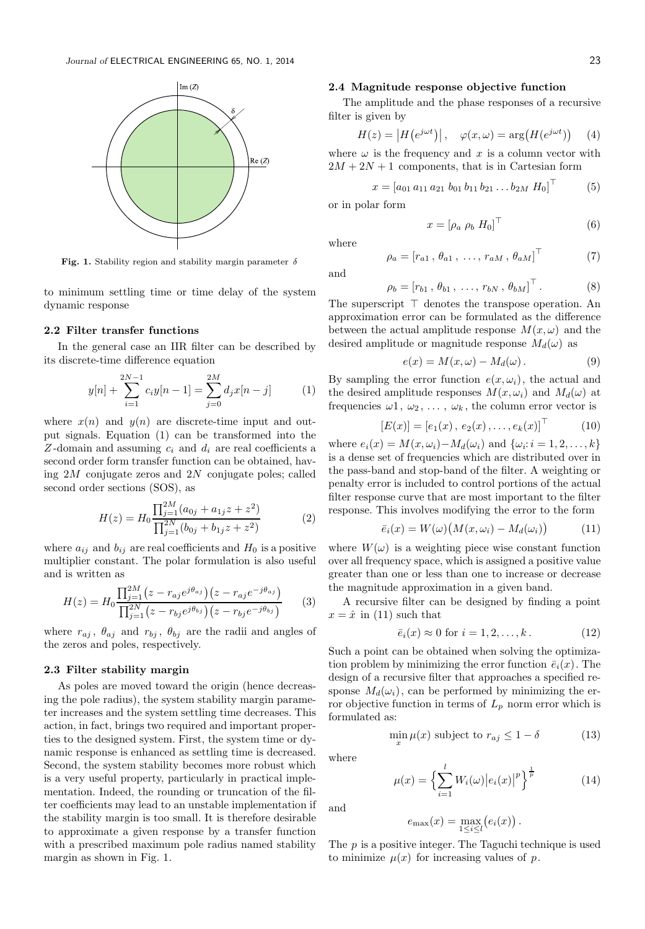

Fig. 1. Stability region and stability margin parameter  $\delta$ 

to minimum settling time or time delay of the system dynamic response

#### 2.2 Filter transfer functions

In the general case an IIR filter can be described by its discrete-time difference equation

$$
y[n] + \sum_{i=1}^{2N-1} c_i y[n-1] = \sum_{j=0}^{2M} d_j x[n-j]
$$
 (1)

where  $x(n)$  and  $y(n)$  are discrete-time input and output signals. Equation (1) can be transformed into the Z-domain and assuming  $c_i$  and  $d_i$  are real coefficients a second order form transfer function can be obtained, having  $2M$  conjugate zeros and  $2N$  conjugate poles; called second order sections (SOS), as

$$
H(z) = H_0 \frac{\prod_{j=1}^{2M} (a_{0j} + a_{1j}z + z^2)}{\prod_{j=1}^{2N} (b_{0j} + b_{1j}z + z^2)}
$$
(2)

where  $a_{ij}$  and  $b_{ij}$  are real coefficients and  $H_0$  is a positive multiplier constant. The polar formulation is also useful and is written as

$$
H(z) = H_0 \frac{\prod_{j=1}^{2M} (z - r_{aj}e^{j\theta_{aj}})(z - r_{aj}e^{-j\theta_{aj}})}{\prod_{j=1}^{2N} (z - r_{bj}e^{j\theta_{bj}})(z - r_{bj}e^{-j\theta_{bj}})}
$$
(3)

where  $r_{aj}$ ,  $\theta_{aj}$  and  $r_{bj}$ ,  $\theta_{bj}$  are the radii and angles of the zeros and poles, respectively.

#### 2.3 Filter stability margin

As poles are moved toward the origin (hence decreasing the pole radius), the system stability margin parameter increases and the system settling time decreases. This action, in fact, brings two required and important properties to the designed system. First, the system time or dynamic response is enhanced as settling time is decreased. Second, the system stability becomes more robust which is a very useful property, particularly in practical implementation. Indeed, the rounding or truncation of the filter coefficients may lead to an unstable implementation if the stability margin is too small. It is therefore desirable to approximate a given response by a transfer function with a prescribed maximum pole radius named stability margin as shown in Fig. 1.

#### 2.4 Magnitude response objective function

The amplitude and the phase responses of a recursive filter is given by

$$
H(z) = |H(e^{j\omega t})|, \quad \varphi(x,\omega) = \arg\big(H(e^{j\omega t})\big) \quad (4)
$$

where  $\omega$  is the frequency and x is a column vector with  $2M + 2N + 1$  components, that is in Cartesian form

$$
x = [a_{01} a_{11} a_{21} b_{01} b_{11} b_{21} \dots b_{2M} H_0]^\top
$$
 (5)

or in polar form

$$
x = \left[\rho_a \ \rho_b \ H_0\right]^\top \tag{6}
$$

where

$$
\rho_a = [r_{a1}, \theta_{a1}, \dots, r_{aM}, \theta_{aM}]^\top \tag{7}
$$

and

$$
\rho_b = [r_{b1}, \, \theta_{b1}, \, \dots, \, r_{bN}, \, \theta_{bM}]^{\top} \,. \tag{8}
$$

The superscript ⊤ denotes the transpose operation. An approximation error can be formulated as the difference between the actual amplitude response  $M(x, \omega)$  and the desired amplitude or magnitude response  $M_d(\omega)$  as

$$
e(x) = M(x, \omega) - M_d(\omega).
$$
 (9)

By sampling the error function  $e(x, \omega_i)$ , the actual and the desired amplitude responses  $M(x, \omega_i)$  and  $M_d(\omega)$  at frequencies  $\omega_1, \omega_2, \ldots, \omega_k$ , the column error vector is

$$
[E(x)] = [e_1(x), e_2(x), \dots, e_k(x)]^{\top}
$$
 (10)

where  $e_i(x) = M(x, \omega_i) - M_d(\omega_i)$  and  $\{\omega_i : i = 1, 2, \dots, k\}$ is a dense set of frequencies which are distributed over in the pass-band and stop-band of the filter. A weighting or penalty error is included to control portions of the actual filter response curve that are most important to the filter response. This involves modifying the error to the form

$$
\bar{e}_i(x) = W(\omega) \big( M(x, \omega_i) - M_d(\omega_i) \big) \tag{11}
$$

where  $W(\omega)$  is a weighting piece wise constant function over all frequency space, which is assigned a positive value greater than one or less than one to increase or decrease the magnitude approximation in a given band.

A recursive filter can be designed by finding a point  $x = \hat{x}$  in (11) such that

$$
\bar{e}_i(x) \approx 0 \text{ for } i = 1, 2, \dots, k. \tag{12}
$$

Such a point can be obtained when solving the optimization problem by minimizing the error function  $\bar{e}_i(x)$ . The design of a recursive filter that approaches a specified response  $M_d(\omega_i)$ , can be performed by minimizing the error objective function in terms of  $L_p$  norm error which is formulated as:

$$
\min_{x} \mu(x) \text{ subject to } r_{aj} \le 1 - \delta \tag{13}
$$

where

$$
\mu(x) = \left\{ \sum_{i=1}^{l} W_i(\omega) |e_i(x)|^p \right\}^{\frac{1}{p}}
$$
(14)

and

$$
e_{\max}(x) = \max_{1 \leq i \leq l} (e_i(x)).
$$

The  $p$  is a positive integer. The Taguchi technique is used to minimize  $\mu(x)$  for increasing values of p.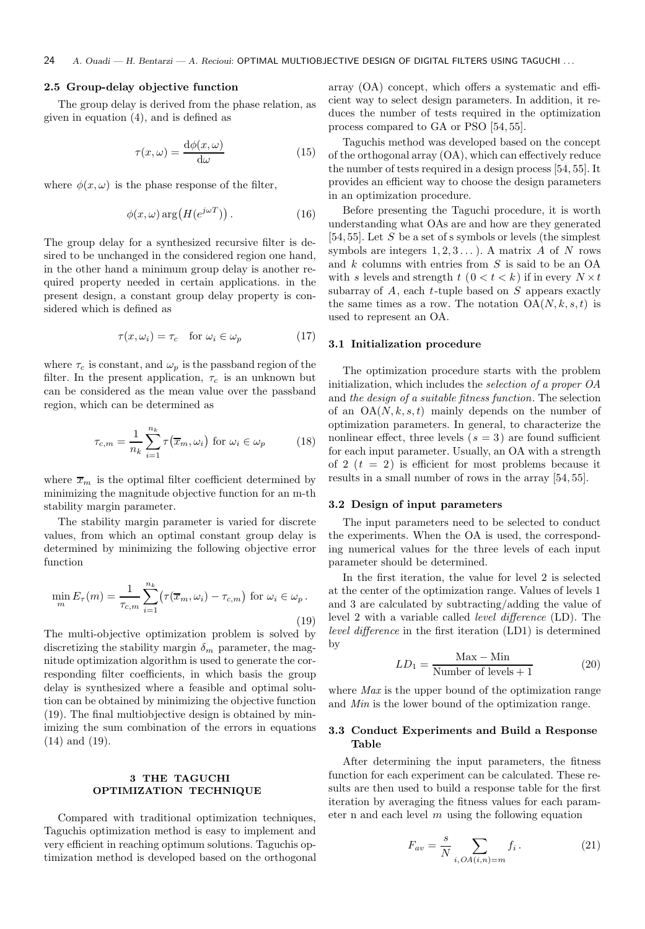### 2.5 Group-delay objective function

The group delay is derived from the phase relation, as given in equation (4), and is defined as

$$
\tau(x,\omega) = \frac{\mathrm{d}\phi(x,\omega)}{\mathrm{d}\omega} \tag{15}
$$

where  $\phi(x,\omega)$  is the phase response of the filter,

$$
\phi(x,\omega)\arg\big(H(e^{j\omega T})\big)\,.
$$
 (16)

The group delay for a synthesized recursive filter is desired to be unchanged in the considered region one hand, in the other hand a minimum group delay is another required property needed in certain applications. in the present design, a constant group delay property is considered which is defined as

$$
\tau(x,\omega_i) = \tau_c \quad \text{for } \omega_i \in \omega_p \tag{17}
$$

where  $\tau_c$  is constant, and  $\omega_p$  is the passband region of the filter. In the present application,  $\tau_c$  is an unknown but can be considered as the mean value over the passband region, which can be determined as

$$
\tau_{c,m} = \frac{1}{n_k} \sum_{i=1}^{n_k} \tau(\overline{x}_m, \omega_i) \text{ for } \omega_i \in \omega_p \tag{18}
$$

where  $\bar{x}_m$  is the optimal filter coefficient determined by minimizing the magnitude objective function for an m-th stability margin parameter.

The stability margin parameter is varied for discrete values, from which an optimal constant group delay is determined by minimizing the following objective error function

$$
\min_{m} E_{\tau}(m) = \frac{1}{\tau_{c,m}} \sum_{i=1}^{n_k} \left( \tau(\overline{x}_m, \omega_i) - \tau_{c,m} \right) \text{ for } \omega_i \in \omega_p.
$$
\n(19)

The multi-objective optimization problem is solved by discretizing the stability margin  $\delta_m$  parameter, the magnitude optimization algorithm is used to generate the corresponding filter coefficients, in which basis the group delay is synthesized where a feasible and optimal solution can be obtained by minimizing the objective function (19). The final multiobjective design is obtained by minimizing the sum combination of the errors in equations (14) and (19).

## 3 THE TAGUCHI OPTIMIZATION TECHNIQUE

Compared with traditional optimization techniques, Taguchis optimization method is easy to implement and very efficient in reaching optimum solutions. Taguchis optimization method is developed based on the orthogonal array (OA) concept, which offers a systematic and efficient way to select design parameters. In addition, it reduces the number of tests required in the optimization process compared to GA or PSO [54, 55].

Taguchis method was developed based on the concept of the orthogonal array (OA), which can effectively reduce the number of tests required in a design process [54, 55]. It provides an efficient way to choose the design parameters in an optimization procedure.

Before presenting the Taguchi procedure, it is worth understanding what OAs are and how are they generated [54, 55]. Let  $S$  be a set of s symbols or levels (the simplest symbols are integers  $1, 2, 3, \ldots$ ). A matrix A of N rows and  $k$  columns with entries from  $S$  is said to be an OA with s levels and strength  $t (0 < t < k)$  if in every  $N \times t$ subarray of  $A$ , each  $t$ -tuple based on  $S$  appears exactly the same times as a row. The notation  $OA(N, k, s, t)$  is used to represent an OA.

#### 3.1 Initialization procedure

The optimization procedure starts with the problem initialization, which includes the selection of a proper OA and the design of a suitable fitness function. The selection of an  $OA(N, k, s, t)$  mainly depends on the number of optimization parameters. In general, to characterize the nonlinear effect, three levels  $(s = 3)$  are found sufficient for each input parameter. Usually, an OA with a strength of 2  $(t = 2)$  is efficient for most problems because it results in a small number of rows in the array [54, 55].

#### 3.2 Design of input parameters

The input parameters need to be selected to conduct the experiments. When the OA is used, the corresponding numerical values for the three levels of each input parameter should be determined.

In the first iteration, the value for level 2 is selected at the center of the optimization range. Values of levels 1 and 3 are calculated by subtracting/adding the value of level 2 with a variable called level difference (LD). The level difference in the first iteration (LD1) is determined by

$$
LD_1 = \frac{\text{Max} - \text{Min}}{\text{Number of levels} + 1}
$$
 (20)

where *Max* is the upper bound of the optimization range and Min is the lower bound of the optimization range.

#### 3.3 Conduct Experiments and Build a Response Table

After determining the input parameters, the fitness function for each experiment can be calculated. These results are then used to build a response table for the first iteration by averaging the fitness values for each parameter n and each level  $m$  using the following equation

$$
F_{av} = \frac{s}{N} \sum_{i, OA(i,n) = m} f_i.
$$
 (21)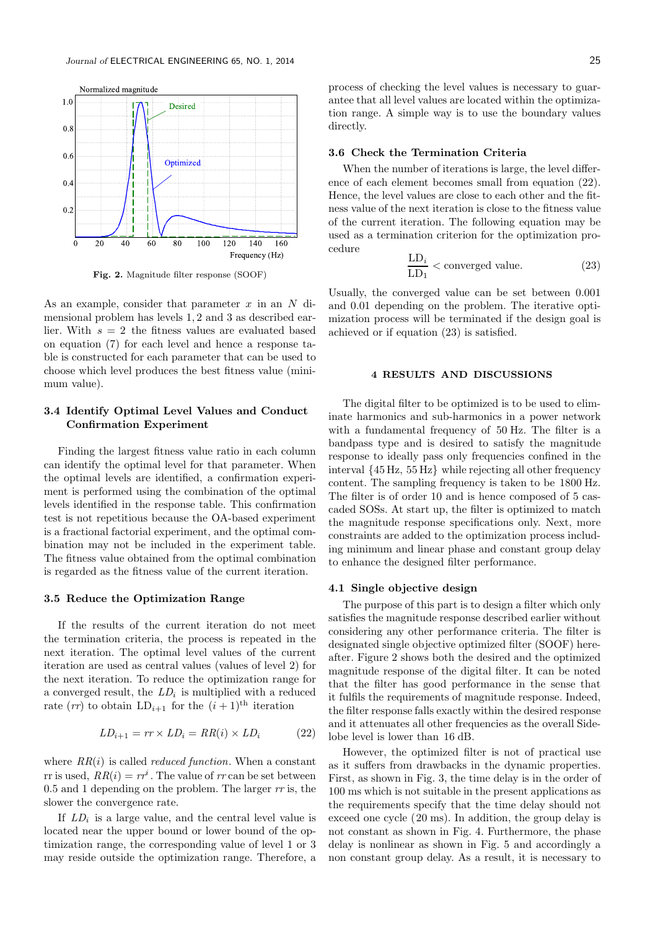

Fig. 2. Magnitude filter response (SOOF)

As an example, consider that parameter  $x$  in an  $N$  dimensional problem has levels 1, 2 and 3 as described earlier. With  $s = 2$  the fitness values are evaluated based on equation (7) for each level and hence a response table is constructed for each parameter that can be used to choose which level produces the best fitness value (minimum value).

## 3.4 Identify Optimal Level Values and Conduct Confirmation Experiment

Finding the largest fitness value ratio in each column can identify the optimal level for that parameter. When the optimal levels are identified, a confirmation experiment is performed using the combination of the optimal levels identified in the response table. This confirmation test is not repetitious because the OA-based experiment is a fractional factorial experiment, and the optimal combination may not be included in the experiment table. The fitness value obtained from the optimal combination is regarded as the fitness value of the current iteration.

#### 3.5 Reduce the Optimization Range

If the results of the current iteration do not meet the termination criteria, the process is repeated in the next iteration. The optimal level values of the current iteration are used as central values (values of level 2) for the next iteration. To reduce the optimization range for a converged result, the  $LD_i$  is multiplied with a reduced rate  $(rr)$  to obtain  $LD_{i+1}$  for the  $(i + 1)$ <sup>th</sup> iteration

$$
LD_{i+1} = rr \times LD_i = RR(i) \times LD_i \tag{22}
$$

where  $RR(i)$  is called *reduced function*. When a constant rr is used,  $RR(i) = rr^{i}$ . The value of  $rr$  can be set between 0.5 and 1 depending on the problem. The larger  $rr$  is, the slower the convergence rate.

If  $LD_i$  is a large value, and the central level value is located near the upper bound or lower bound of the optimization range, the corresponding value of level 1 or 3 may reside outside the optimization range. Therefore, a

process of checking the level values is necessary to guarantee that all level values are located within the optimization range. A simple way is to use the boundary values directly.

#### 3.6 Check the Termination Criteria

When the number of iterations is large, the level difference of each element becomes small from equation (22). Hence, the level values are close to each other and the fitness value of the next iteration is close to the fitness value of the current iteration. The following equation may be used as a termination criterion for the optimization procedure

$$
\frac{\text{LD}_i}{\text{LD}_1} < \text{converged value.} \tag{23}
$$

Usually, the converged value can be set between 0.001 and 0.01 depending on the problem. The iterative optimization process will be terminated if the design goal is achieved or if equation (23) is satisfied.

#### 4 RESULTS AND DISCUSSIONS

The digital filter to be optimized is to be used to eliminate harmonics and sub-harmonics in a power network with a fundamental frequency of 50 Hz. The filter is a bandpass type and is desired to satisfy the magnitude response to ideally pass only frequencies confined in the interval {45 Hz, 55 Hz} while rejecting all other frequency content. The sampling frequency is taken to be 1800 Hz. The filter is of order 10 and is hence composed of 5 cascaded SOSs. At start up, the filter is optimized to match the magnitude response specifications only. Next, more constraints are added to the optimization process including minimum and linear phase and constant group delay to enhance the designed filter performance.

#### 4.1 Single objective design

The purpose of this part is to design a filter which only satisfies the magnitude response described earlier without considering any other performance criteria. The filter is designated single objective optimized filter (SOOF) hereafter. Figure 2 shows both the desired and the optimized magnitude response of the digital filter. It can be noted that the filter has good performance in the sense that it fulfils the requirements of magnitude response. Indeed, the filter response falls exactly within the desired response and it attenuates all other frequencies as the overall Sidelobe level is lower than 16 dB.

However, the optimized filter is not of practical use as it suffers from drawbacks in the dynamic properties. First, as shown in Fig. 3, the time delay is in the order of 100 ms which is not suitable in the present applications as the requirements specify that the time delay should not exceed one cycle (20 ms). In addition, the group delay is not constant as shown in Fig. 4. Furthermore, the phase delay is nonlinear as shown in Fig. 5 and accordingly a non constant group delay. As a result, it is necessary to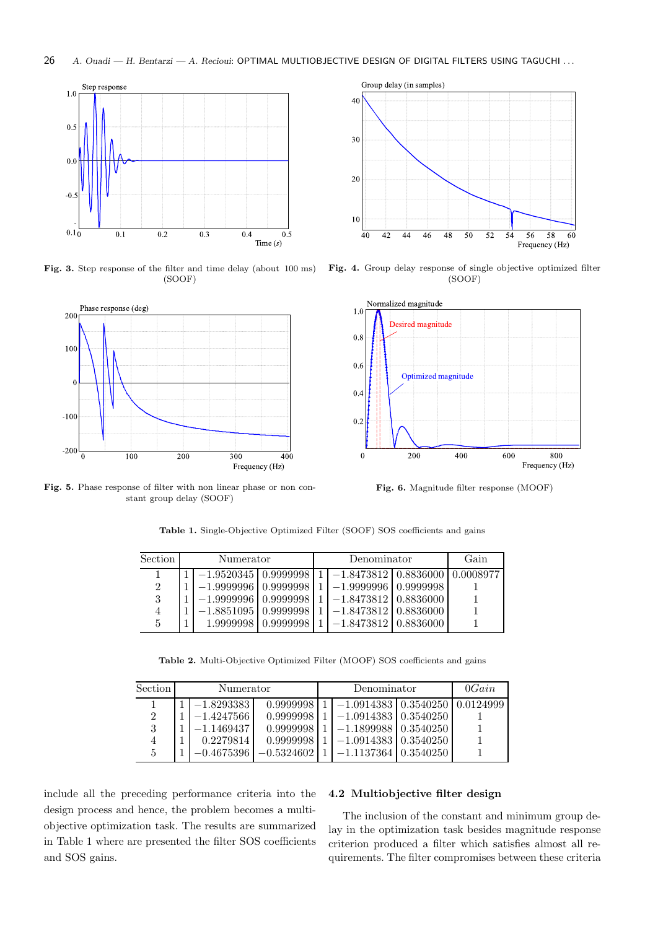

Fig. 3. Step response of the filter and time delay (about 100 ms) (SOOF)



Fig. 5. Phase response of filter with non linear phase or non constant group delay (SOOF)



Fig. 4. Group delay response of single objective optimized filter (SOOF)



Fig. 6. Magnitude filter response (MOOF)

| $\operatorname{Section}$ | Numerator |  | Denominator |                                                                                              |  | Gain |
|--------------------------|-----------|--|-------------|----------------------------------------------------------------------------------------------|--|------|
|                          |           |  |             | $\mid 1 \mid -1.9520345 \mid 0.9999998 \mid 1 \mid -1.8473812 \mid 0.8836000 \mid 0.0008977$ |  |      |

 $\begin{array}{c|c|c|c|c|c|c|c|c} 2 & 1 & -1.99999996 & 0.9999998 & 1 & -1.9999996 & 0.9999998 & 1 & -1.8473812 & 0.8836000 & & 1 \end{array}$ 3 1 −1.9999996 0.9999998 1 −1.8473812 0.8836000 1  $\begin{array}{|c|c|c|c|c|}\n 4 & 1 & -1.8851095 & 0.9999998 & 1 & -1.8473812 & 0.8836000 \\
5 & 1 & 1.9999998 & 0.9999998 & 1 & -1.8473812 & 0.8836000\n \end{array}$ 

Table 1. Single-Objective Optimized Filter (SOOF) SOS coefficients and gains

1 | 1.9999998 | 0.9999998 | 1 | −1.8473812 | 0.8836000 | 1

Table 2. Multi-Objective Optimized Filter (MOOF) SOS coefficients and gains

| Section | Numerator |              |              | Denominator |                                      |                       | 0Gain |
|---------|-----------|--------------|--------------|-------------|--------------------------------------|-----------------------|-------|
|         |           | $-1.8293383$ | 0.9999998    |             | $-1.0914383$   0.3540250   0.0124999 |                       |       |
| 2       |           | $-1.4247566$ | 0.9999998    |             | $-1.0914383$   0.3540250             |                       |       |
| 3       |           | $-1.1469437$ | 0.9999998    |             | $-1.1899988$   0.3540250             |                       |       |
|         |           | 0.2279814    | 0.9999998    |             | $-1.0914383$   0.3540250             |                       |       |
| 5       |           | $-0.4675396$ | $-0.5324602$ |             |                                      | 1.1137364   0.3540250 |       |

include all the preceding performance criteria into the design process and hence, the problem becomes a multiobjective optimization task. The results are summarized in Table 1 where are presented the filter SOS coefficients and SOS gains.

## 4.2 Multiobjective filter design

The inclusion of the constant and minimum group delay in the optimization task besides magnitude response criterion produced a filter which satisfies almost all requirements. The filter compromises between these criteria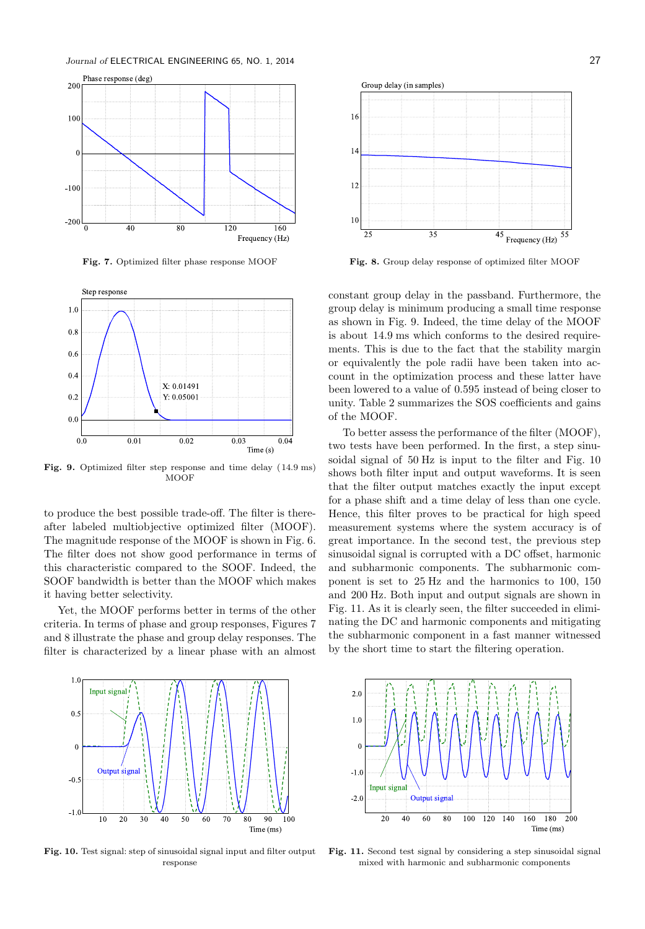Journal of ELECTRICAL ENGINEERING 65, NO. 1, 2014 27





Fig. 9. Optimized filter step response and time delay ( 14.9 ms) **MOOF** 

to produce the best possible trade-off. The filter is thereafter labeled multiobjective optimized filter (MOOF). The magnitude response of the MOOF is shown in Fig. 6. The filter does not show good performance in terms of this characteristic compared to the SOOF. Indeed, the SOOF bandwidth is better than the MOOF which makes it having better selectivity.

Yet, the MOOF performs better in terms of the other criteria. In terms of phase and group responses, Figures 7 and 8 illustrate the phase and group delay responses. The filter is characterized by a linear phase with an almost



Fig. 7. Optimized filter phase response MOOF Fig. 8. Group delay response of optimized filter MOOF

constant group delay in the passband. Furthermore, the group delay is minimum producing a small time response as shown in Fig. 9. Indeed, the time delay of the MOOF is about 14.9 ms which conforms to the desired requirements. This is due to the fact that the stability margin or equivalently the pole radii have been taken into account in the optimization process and these latter have been lowered to a value of 0.595 instead of being closer to unity. Table 2 summarizes the SOS coefficients and gains of the MOOF.

To better assess the performance of the filter (MOOF), two tests have been performed. In the first, a step sinusoidal signal of 50 Hz is input to the filter and Fig. 10 shows both filter input and output waveforms. It is seen that the filter output matches exactly the input except for a phase shift and a time delay of less than one cycle. Hence, this filter proves to be practical for high speed measurement systems where the system accuracy is of great importance. In the second test, the previous step sinusoidal signal is corrupted with a DC offset, harmonic and subharmonic components. The subharmonic component is set to 25 Hz and the harmonics to 100, 150 and 200 Hz. Both input and output signals are shown in Fig. 11. As it is clearly seen, the filter succeeded in eliminating the DC and harmonic components and mitigating the subharmonic component in a fast manner witnessed by the short time to start the filtering operation.



Fig. 10. Test signal: step of sinusoidal signal input and filter output response



Fig. 11. Second test signal by considering a step sinusoidal signal mixed with harmonic and subharmonic components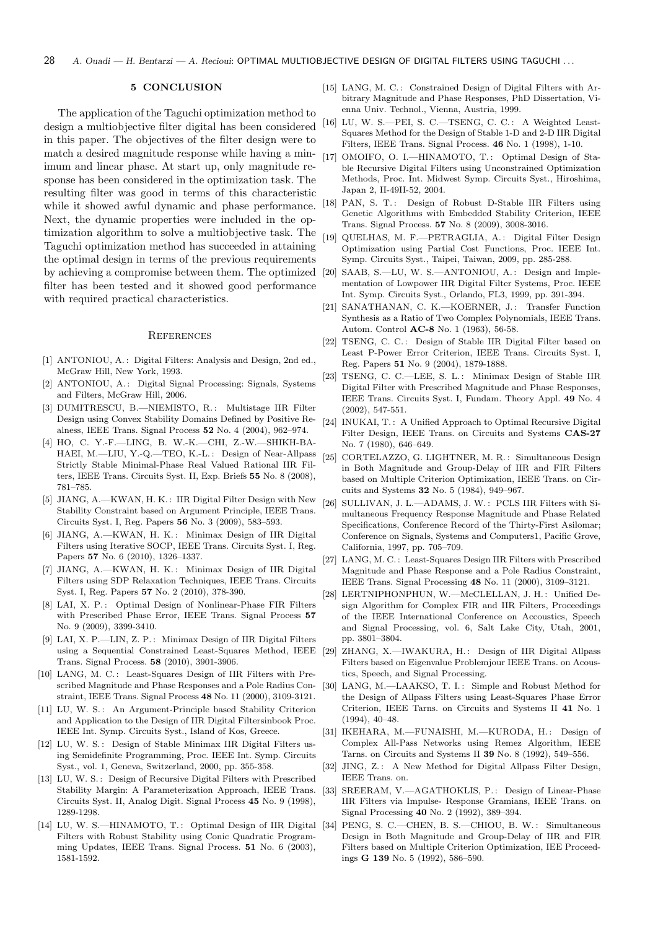#### 5 CONCLUSION

The application of the Taguchi optimization method to design a multiobjective filter digital has been considered in this paper. The objectives of the filter design were to match a desired magnitude response while having a minimum and linear phase. At start up, only magnitude response has been considered in the optimization task. The resulting filter was good in terms of this characteristic while it showed awful dynamic and phase performance. Next, the dynamic properties were included in the optimization algorithm to solve a multiobjective task. The Taguchi optimization method has succeeded in attaining the optimal design in terms of the previous requirements by achieving a compromise between them. The optimized filter has been tested and it showed good performance with required practical characteristics.

#### **REFERENCES**

- [1] ANTONIOU, A.: Digital Filters: Analysis and Design, 2nd ed., McGraw Hill, New York, 1993.
- [2] ANTONIOU, A.: Digital Signal Processing: Signals, Systems and Filters, McGraw Hill, 2006.
- [3] DUMITRESCU, B.—NIEMISTO, R.: Multistage IIR Filter Design using Convex Stability Domains Defined by Positive Realness, IEEE Trans. Signal Process 52 No. 4 (2004), 962–974.
- [4] HO, C. Y.-F.—LING, B. W.-K.—CHI, Z.-W.—SHIKH-BA-HAEI, M.—LIU, Y.-Q.—TEO, K.-L. : Design of Near-Allpass Strictly Stable Minimal-Phase Real Valued Rational IIR Filters, IEEE Trans. Circuits Syst. II, Exp. Briefs 55 No. 8 (2008), 781–785.
- [5] JIANG, A.—KWAN, H. K. : IIR Digital Filter Design with New Stability Constraint based on Argument Principle, IEEE Trans. Circuits Syst. I, Reg. Papers 56 No. 3 (2009), 583–593.
- [6] JIANG, A.-KWAN, H. K.: Minimax Design of IIR Digital Filters using Iterative SOCP, IEEE Trans. Circuits Syst. I, Reg. Papers 57 No. 6 (2010), 1326–1337.
- [7] JIANG, A.-KWAN, H. K.: Minimax Design of IIR Digital Filters using SDP Relaxation Techniques, IEEE Trans. Circuits Syst. I, Reg. Papers 57 No. 2 (2010), 378-390.
- [8] LAI, X. P.: Optimal Design of Nonlinear-Phase FIR Filters with Prescribed Phase Error, IEEE Trans. Signal Process 57 No. 9 (2009), 3399-3410.
- [9] LAI, X. P.—LIN, Z. P. : Minimax Design of IIR Digital Filters using a Sequential Constrained Least-Squares Method, IEEE Trans. Signal Process. 58 (2010), 3901-3906.
- [10] LANG, M. C.: Least-Squares Design of IIR Filters with Prescribed Magnitude and Phase Responses and a Pole Radius Constraint, IEEE Trans. Signal Process 48 No. 11 (2000), 3109-3121.
- [11] LU, W. S.: An Argument-Principle based Stability Criterion and Application to the Design of IIR Digital Filtersinbook Proc. IEEE Int. Symp. Circuits Syst., Island of Kos, Greece.
- [12] LU, W. S.: Design of Stable Minimax IIR Digital Filters using Semidefinite Programming, Proc. IEEE Int. Symp. Circuits Syst., vol. 1, Geneva, Switzerland, 2000, pp. 355-358.
- [13] LU, W. S.: Design of Recursive Digital Filters with Prescribed Stability Margin: A Parameterization Approach, IEEE Trans. Circuits Syst. II, Analog Digit. Signal Process 45 No. 9 (1998), 1289-1298.
- [14] LU, W. S.-HINAMOTO, T.: Optimal Design of IIR Digital [34] Filters with Robust Stability using Conic Quadratic Programming Updates, IEEE Trans. Signal Process. 51 No. 6 (2003), 1581-1592.
- [15] LANG, M. C.: Constrained Design of Digital Filters with Arbitrary Magnitude and Phase Responses, PhD Dissertation, Vienna Univ. Technol., Vienna, Austria, 1999.
- [16] LU, W. S.—PEI, S. C.—TSENG, C. C. : A Weighted Least-Squares Method for the Design of Stable 1-D and 2-D IIR Digital Filters, IEEE Trans. Signal Process. 46 No. 1 (1998), 1-10.
- [17] OMOIFO, O. I.-HINAMOTO, T.: Optimal Design of Stable Recursive Digital Filters using Unconstrained Optimization Methods, Proc. Int. Midwest Symp. Circuits Syst., Hiroshima, Japan 2, II-49II-52, 2004.
- [18] PAN, S. T.: Design of Robust D-Stable IIR Filters using Genetic Algorithms with Embedded Stability Criterion, IEEE Trans. Signal Process. 57 No. 8 (2009), 3008-3016.
- [19] QUELHAS, M. F.—PETRAGLIA, A.: Digital Filter Design Optimization using Partial Cost Functions, Proc. IEEE Int. Symp. Circuits Syst., Taipei, Taiwan, 2009, pp. 285-288.
- [20] SAAB, S.-LU, W. S.--ANTONIOU, A.: Design and Implementation of Lowpower IIR Digital Filter Systems, Proc. IEEE Int. Symp. Circuits Syst., Orlando, FL3, 1999, pp. 391-394.
- [21] SANATHANAN, C. K.-KOERNER, J.: Transfer Function Synthesis as a Ratio of Two Complex Polynomials, IEEE Trans. Autom. Control AC-8 No. 1 (1963), 56-58.
- [22] TSENG, C. C. : Design of Stable IIR Digital Filter based on Least P-Power Error Criterion, IEEE Trans. Circuits Syst. I, Reg. Papers 51 No. 9 (2004), 1879-1888.
- [23] TSENG, C. C.—LEE, S. L.: Minimax Design of Stable IIR Digital Filter with Prescribed Magnitude and Phase Responses, IEEE Trans. Circuits Syst. I, Fundam. Theory Appl. 49 No. 4 (2002), 547-551.
- [24] INUKAI, T.: A Unified Approach to Optimal Recursive Digital Filter Design, IEEE Trans. on Circuits and Systems CAS-27 No. 7 (1980), 646–649.
- [25] CORTELAZZO, G. LIGHTNER, M. R. : Simultaneous Design in Both Magnitude and Group-Delay of IIR and FIR Filters based on Multiple Criterion Optimization, IEEE Trans. on Circuits and Systems 32 No. 5 (1984), 949–967.
- [26] SULLIVAN, J. L.-ADAMS, J. W.: PCLS IIR Filters with Simultaneous Frequency Response Magnitude and Phase Related Specifications, Conference Record of the Thirty-First Asilomar; Conference on Signals, Systems and Computers1, Pacific Grove, California, 1997, pp. 705–709.
- [27] LANG, M. C.: Least-Squares Design IIR Filters with Prescribed Magnitude and Phase Response and a Pole Radius Constraint, IEEE Trans. Signal Processing 48 No. 11 (2000), 3109–3121.
- [28] LERTNIPHONPHUN, W.-McCLELLAN, J. H.: Unified Design Algorithm for Complex FIR and IIR Filters, Proceedings of the IEEE International Conference on Accoustics, Speech and Signal Processing, vol. 6, Salt Lake City, Utah, 2001, pp. 3801–3804.
- [29] ZHANG, X.-IWAKURA, H.: Design of IIR Digital Allpass Filters based on Eigenvalue Problemjour IEEE Trans. on Acoustics, Speech, and Signal Processing.
- [30] LANG, M.-LAAKSO, T. I.: Simple and Robust Method for the Design of Allpass Filters using Least-Squares Phase Error Criterion, IEEE Tarns. on Circuits and Systems II 41 No. 1 (1994), 40–48.
- [31] IKEHARA, M.-FUNAISHI, M.-KURODA, H.: Design of Complex All-Pass Networks using Remez Algorithm, IEEE Tarns. on Circuits and Systems II 39 No. 8 (1992), 549–556.
- [32] JING, Z.: A New Method for Digital Allpass Filter Design, IEEE Trans. on.
- [33] SREERAM, V.—AGATHOKLIS, P.: Design of Linear-Phase IIR Filters via Impulse- Response Gramians, IEEE Trans. on Signal Processing 40 No. 2 (1992), 389–394.
- PENG, S. C.—CHEN, B. S.—CHIOU, B. W. : Simultaneous Design in Both Magnitude and Group-Delay of IIR and FIR Filters based on Multiple Criterion Optimization, IEE Proceedings G 139 No. 5 (1992), 586–590.